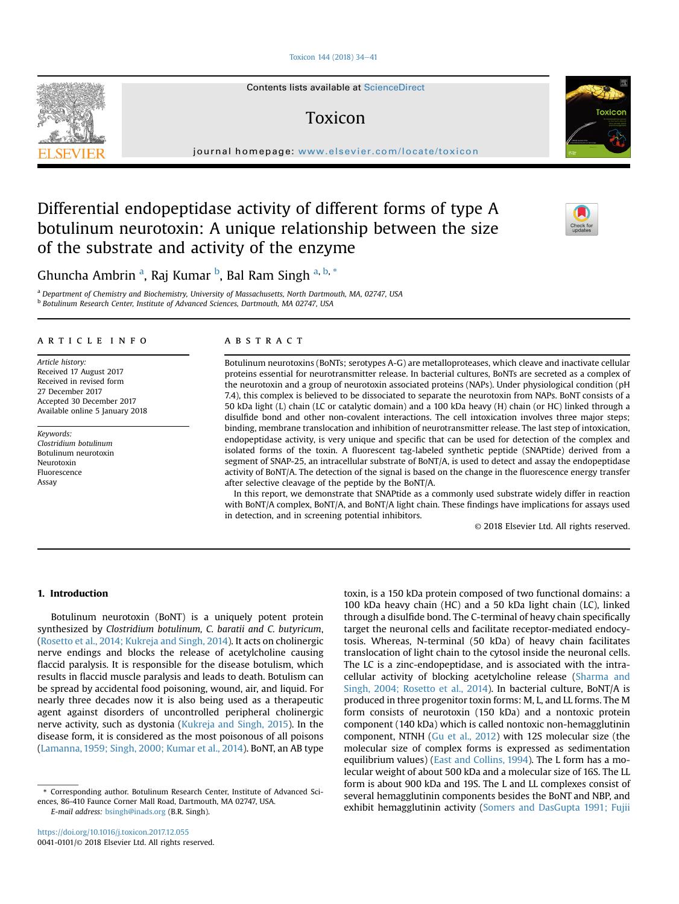### [Toxicon 144 \(2018\) 34](https://doi.org/10.1016/j.toxicon.2017.12.055)-[41](https://doi.org/10.1016/j.toxicon.2017.12.055)

Contents lists available at ScienceDirect

# Toxicon

journal homepage: <www.elsevier.com/locate/toxicon>

# Differential endopeptidase activity of different forms of type A botulinum neurotoxin: A unique relationship between the size of the substrate and activity of the enzyme

Ghuncha Ambrin <sup>a</sup>, Raj Kumar <sup>b</sup>, Bal Ram Singh <sup>a, b, \*</sup>

a Department of Chemistry and Biochemistry, University of Massachusetts, North Dartmouth, MA, 02747, USA <sup>b</sup> Botulinum Research Center, Institute of Advanced Sciences, Dartmouth, MA 02747, USA

#### article info

Article history: Received 17 August 2017 Received in revised form 27 December 2017 Accepted 30 December 2017 Available online 5 January 2018

Keywords: Clostridium botulinum Botulinum neurotoxin Neurotoxin Fluorescence Assay

# ABSTRACT

Botulinum neurotoxins (BoNTs; serotypes A-G) are metalloproteases, which cleave and inactivate cellular proteins essential for neurotransmitter release. In bacterial cultures, BoNTs are secreted as a complex of the neurotoxin and a group of neurotoxin associated proteins (NAPs). Under physiological condition (pH 7.4), this complex is believed to be dissociated to separate the neurotoxin from NAPs. BoNT consists of a 50 kDa light (L) chain (LC or catalytic domain) and a 100 kDa heavy (H) chain (or HC) linked through a disulfide bond and other non-covalent interactions. The cell intoxication involves three major steps; binding, membrane translocation and inhibition of neurotransmitter release. The last step of intoxication, endopeptidase activity, is very unique and specific that can be used for detection of the complex and isolated forms of the toxin. A fluorescent tag-labeled synthetic peptide (SNAPtide) derived from a segment of SNAP-25, an intracellular substrate of BoNT/A, is used to detect and assay the endopeptidase activity of BoNT/A. The detection of the signal is based on the change in the fluorescence energy transfer after selective cleavage of the peptide by the BoNT/A.

In this report, we demonstrate that SNAPtide as a commonly used substrate widely differ in reaction with BoNT/A complex, BoNT/A, and BoNT/A light chain. These findings have implications for assays used in detection, and in screening potential inhibitors.

© 2018 Elsevier Ltd. All rights reserved.

## 1. Introduction

Botulinum neurotoxin (BoNT) is a uniquely potent protein synthesized by Clostridium botulinum, C. baratii and C. butyricum, ([Rosetto et al., 2014; Kukreja and Singh, 2014\)](#page-7-0). It acts on cholinergic nerve endings and blocks the release of acetylcholine causing flaccid paralysis. It is responsible for the disease botulism, which results in flaccid muscle paralysis and leads to death. Botulism can be spread by accidental food poisoning, wound, air, and liquid. For nearly three decades now it is also being used as a therapeutic agent against disorders of uncontrolled peripheral cholinergic nerve activity, such as dystonia [\(Kukreja and Singh, 2015\)](#page-7-0). In the disease form, it is considered as the most poisonous of all poisons ([Lamanna, 1959; Singh, 2000; Kumar et al., 2014](#page-7-0)). BoNT, an AB type

E-mail address: [bsingh@inads.org](mailto:bsingh@inads.org) (B.R. Singh).

toxin, is a 150 kDa protein composed of two functional domains: a 100 kDa heavy chain (HC) and a 50 kDa light chain (LC), linked through a disulfide bond. The C-terminal of heavy chain specifically target the neuronal cells and facilitate receptor-mediated endocytosis. Whereas, N-terminal (50 kDa) of heavy chain facilitates translocation of light chain to the cytosol inside the neuronal cells. The LC is a zinc-endopeptidase, and is associated with the intracellular activity of blocking acetylcholine release [\(Sharma and](#page-7-0) [Singh, 2004; Rosetto et al., 2014\)](#page-7-0). In bacterial culture, BoNT/A is produced in three progenitor toxin forms: M, L, and LL forms. The M form consists of neurotoxin (150 kDa) and a nontoxic protein component (140 kDa) which is called nontoxic non-hemagglutinin component, NTNH ([Gu et al., 2012](#page-7-0)) with 12S molecular size (the molecular size of complex forms is expressed as sedimentation equilibrium values) ([East and Collins, 1994](#page-7-0)). The L form has a molecular weight of about 500 kDa and a molecular size of 16S. The LL form is about 900 kDa and 19S. The L and LL complexes consist of several hemagglutinin components besides the BoNT and NBP, and exhibit hemagglutinin activity [\(Somers and DasGupta 1991; Fujii](#page-7-0)







<sup>\*</sup> Corresponding author. Botulinum Research Center, Institute of Advanced Sciences, 86-410 Faunce Corner Mall Road, Dartmouth, MA 02747, USA.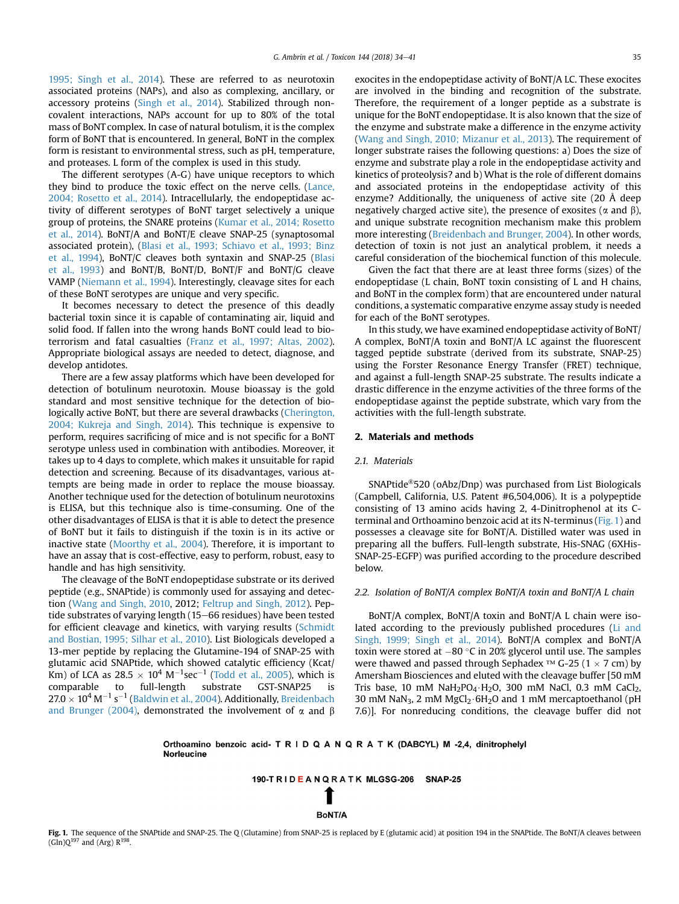[1995; Singh et al., 2014\)](#page-7-0). These are referred to as neurotoxin associated proteins (NAPs), and also as complexing, ancillary, or accessory proteins [\(Singh et al., 2014\)](#page-7-0). Stabilized through noncovalent interactions, NAPs account for up to 80% of the total mass of BoNT complex. In case of natural botulism, it is the complex form of BoNT that is encountered. In general, BoNT in the complex form is resistant to environmental stress, such as pH, temperature, and proteases. L form of the complex is used in this study.

The different serotypes (A-G) have unique receptors to which they bind to produce the toxic effect on the nerve cells. [\(Lance,](#page-7-0) [2004; Rosetto et al., 2014\)](#page-7-0). Intracellularly, the endopeptidase activity of different serotypes of BoNT target selectively a unique group of proteins, the SNARE proteins ([Kumar et al., 2014; Rosetto](#page-7-0) [et al., 2014\)](#page-7-0). BoNT/A and BoNT/E cleave SNAP-25 (synaptosomal associated protein), [\(Blasi et al., 1993; Schiavo et al., 1993; Binz](#page-7-0) [et al., 1994\)](#page-7-0), BoNT/C cleaves both syntaxin and SNAP-25 ([Blasi](#page-7-0) [et al., 1993\)](#page-7-0) and BoNT/B, BoNT/D, BoNT/F and BoNT/G cleave VAMP [\(Niemann et al., 1994](#page-7-0)). Interestingly, cleavage sites for each of these BoNT serotypes are unique and very specific.

It becomes necessary to detect the presence of this deadly bacterial toxin since it is capable of contaminating air, liquid and solid food. If fallen into the wrong hands BoNT could lead to bioterrorism and fatal casualties ([Franz et al., 1997; Altas, 2002\)](#page-7-0). Appropriate biological assays are needed to detect, diagnose, and develop antidotes.

There are a few assay platforms which have been developed for detection of botulinum neurotoxin. Mouse bioassay is the gold standard and most sensitive technique for the detection of biologically active BoNT, but there are several drawbacks ([Cherington,](#page-7-0) [2004; Kukreja and Singh, 2014\)](#page-7-0). This technique is expensive to perform, requires sacrificing of mice and is not specific for a BoNT serotype unless used in combination with antibodies. Moreover, it takes up to 4 days to complete, which makes it unsuitable for rapid detection and screening. Because of its disadvantages, various attempts are being made in order to replace the mouse bioassay. Another technique used for the detection of botulinum neurotoxins is ELISA, but this technique also is time-consuming. One of the other disadvantages of ELISA is that it is able to detect the presence of BoNT but it fails to distinguish if the toxin is in its active or inactive state [\(Moorthy et al., 2004\)](#page-7-0). Therefore, it is important to have an assay that is cost-effective, easy to perform, robust, easy to handle and has high sensitivity.

The cleavage of the BoNT endopeptidase substrate or its derived peptide (e.g., SNAPtide) is commonly used for assaying and detection [\(Wang and Singh, 2010](#page-7-0), 2012; [Feltrup and Singh, 2012\)](#page-7-0). Peptide substrates of varying length (15-66 residues) have been tested for efficient cleavage and kinetics, with varying results [\(Schmidt](#page-7-0) [and Bostian, 1995; Silhar et al., 2010](#page-7-0)). List Biologicals developed a 13-mer peptide by replacing the Glutamine-194 of SNAP-25 with glutamic acid SNAPtide, which showed catalytic efficiency (Kcat/ Km) of LCA as  $28.5 \times 10^4 \text{ M}^{-1} \text{sec}^{-1}$  ([Todd et al., 2005\)](#page-7-0), which is comparable to full-length substrate GST-SNAP25 is  $27.0 \times 10^4$  M $^{-1}$  s $^{-1}$  ([Baldwin et al., 2004](#page-7-0)). Additionally, [Breidenbach](#page-7-0) [and Brunger \(2004\)](#page-7-0), demonstrated the involvement of  $\alpha$  and  $\beta$  exocites in the endopeptidase activity of BoNT/A LC. These exocites are involved in the binding and recognition of the substrate. Therefore, the requirement of a longer peptide as a substrate is unique for the BoNT endopeptidase. It is also known that the size of the enzyme and substrate make a difference in the enzyme activity ([Wang and Singh, 2010; Mizanur et al., 2013](#page-7-0)). The requirement of longer substrate raises the following questions: a) Does the size of enzyme and substrate play a role in the endopeptidase activity and kinetics of proteolysis? and b) What is the role of different domains and associated proteins in the endopeptidase activity of this enzyme? Additionally, the uniqueness of active site (20 Å deep negatively charged active site), the presence of exosites ( $\alpha$  and  $\beta$ ), and unique substrate recognition mechanism make this problem more interesting [\(Breidenbach and Brunger, 2004](#page-7-0)). In other words, detection of toxin is not just an analytical problem, it needs a careful consideration of the biochemical function of this molecule.

Given the fact that there are at least three forms (sizes) of the endopeptidase (L chain, BoNT toxin consisting of L and H chains, and BoNT in the complex form) that are encountered under natural conditions, a systematic comparative enzyme assay study is needed for each of the BoNT serotypes.

In this study, we have examined endopeptidase activity of BoNT/ A complex, BoNT/A toxin and BoNT/A LC against the fluorescent tagged peptide substrate (derived from its substrate, SNAP-25) using the Forster Resonance Energy Transfer (FRET) technique, and against a full-length SNAP-25 substrate. The results indicate a drastic difference in the enzyme activities of the three forms of the endopeptidase against the peptide substrate, which vary from the activities with the full-length substrate.

#### 2. Materials and methods

#### 2.1. Materials

SNAPtide®520 (oAbz/Dnp) was purchased from List Biologicals (Campbell, California, U.S. Patent #6,504,006). It is a polypeptide consisting of 13 amino acids having 2, 4-Dinitrophenol at its Cterminal and Orthoamino benzoic acid at its N-terminus (Fig. 1) and possesses a cleavage site for BoNT/A. Distilled water was used in preparing all the buffers. Full-length substrate, His-SNAG (6XHis-SNAP-25-EGFP) was purified according to the procedure described below.

#### 2.2. Isolation of BoNT/A complex BoNT/A toxin and BoNT/A L chain

BoNT/A complex, BoNT/A toxin and BoNT/A L chain were isolated according to the previously published procedures ([Li and](#page-7-0) [Singh, 1999; Singh et al., 2014\)](#page-7-0). BoNT/A complex and BoNT/A toxin were stored at  $-80$  °C in 20% glycerol until use. The samples were thawed and passed through Sephadex  $TM G-25 (1 \times 7 cm)$  by Amersham Biosciences and eluted with the cleavage buffer [50 mM Tris base, 10 mM NaH<sub>2</sub>PO<sub>4</sub> H<sub>2</sub>O, 300 mM NaCl, 0.3 mM CaCl<sub>2</sub>, 30 mM NaN<sub>3</sub>, 2 mM MgCl<sub>2</sub> $\cdot$ 6H<sub>2</sub>O and 1 mM mercaptoethanol (pH 7.6)]. For nonreducing conditions, the cleavage buffer did not

Orthoamino benzoic acid- T R I D Q A N Q R A T K (DABCYL) M -2,4, dinitrophelyl **Norleucine** 

190-TRIDEANQRATK MLGSG-206 SNAP-25

# BoNT/A

Fig. 1. The sequence of the SNAPtide and SNAP-25. The Q (Glutamine) from SNAP-25 is replaced by E (glutamic acid) at position 194 in the SNAPtide. The BoNT/A cleaves between  $(G\ln)Q^{197}$  and  $(Arg)$   $R^{198}$ .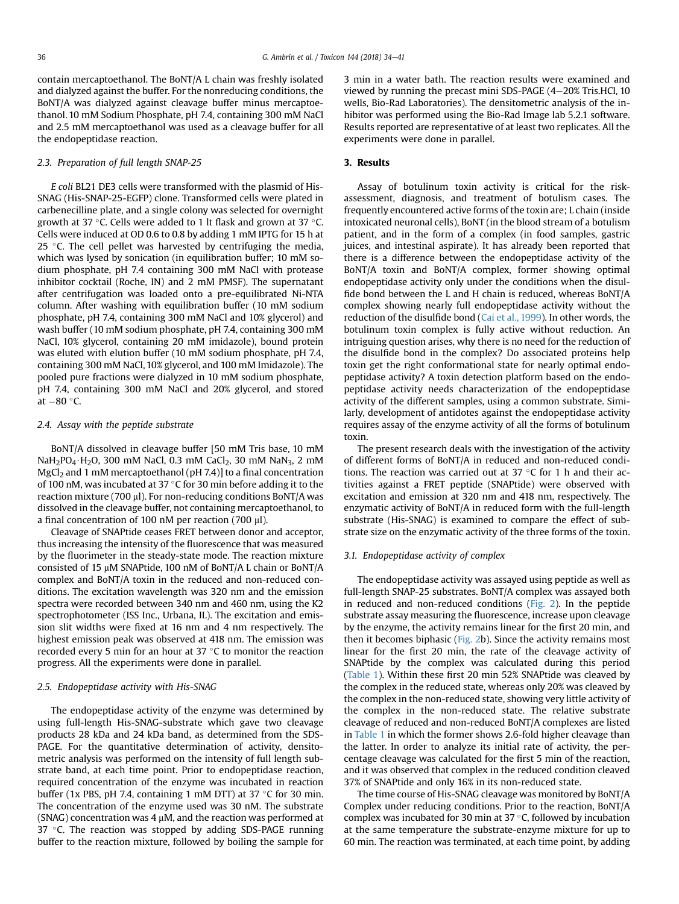contain mercaptoethanol. The BoNT/A L chain was freshly isolated and dialyzed against the buffer. For the nonreducing conditions, the BoNT/A was dialyzed against cleavage buffer minus mercaptoethanol. 10 mM Sodium Phosphate, pH 7.4, containing 300 mM NaCl and 2.5 mM mercaptoethanol was used as a cleavage buffer for all the endopeptidase reaction.

#### 2.3. Preparation of full length SNAP-25

E coli BL21 DE3 cells were transformed with the plasmid of His-SNAG (His-SNAP-25-EGFP) clone. Transformed cells were plated in carbenecilline plate, and a single colony was selected for overnight growth at 37 °C. Cells were added to 1 lt flask and grown at 37 °C. Cells were induced at OD 0.6 to 0.8 by adding 1 mM IPTG for 15 h at 25  $\degree$ C. The cell pellet was harvested by centrifuging the media, which was lysed by sonication (in equilibration buffer; 10 mM sodium phosphate, pH 7.4 containing 300 mM NaCl with protease inhibitor cocktail (Roche, IN) and 2 mM PMSF). The supernatant after centrifugation was loaded onto a pre-equilibrated Ni-NTA column. After washing with equilibration buffer (10 mM sodium phosphate, pH 7.4, containing 300 mM NaCl and 10% glycerol) and wash buffer (10 mM sodium phosphate, pH 7.4, containing 300 mM NaCl, 10% glycerol, containing 20 mM imidazole), bound protein was eluted with elution buffer (10 mM sodium phosphate, pH 7.4, containing 300 mM NaCl, 10% glycerol, and 100 mM Imidazole). The pooled pure fractions were dialyzed in 10 mM sodium phosphate, pH 7.4, containing 300 mM NaCl and 20% glycerol, and stored at  $-80$  °C.

#### 2.4. Assay with the peptide substrate

BoNT/A dissolved in cleavage buffer [50 mM Tris base, 10 mM NaH<sub>2</sub>PO<sub>4</sub> · H<sub>2</sub>O, 300 mM NaCl, 0.3 mM CaCl<sub>2</sub>, 30 mM NaN<sub>3</sub>, 2 mM  $MgCl<sub>2</sub>$  and 1 mM mercaptoethanol (pH 7.4)] to a final concentration of 100 nM, was incubated at 37  $\degree$ C for 30 min before adding it to the reaction mixture (700  $\mu$ ). For non-reducing conditions BoNT/A was dissolved in the cleavage buffer, not containing mercaptoethanol, to a final concentration of 100 nM per reaction (700 µl).

Cleavage of SNAPtide ceases FRET between donor and acceptor, thus increasing the intensity of the fluorescence that was measured by the fluorimeter in the steady-state mode. The reaction mixture consisted of 15 µM SNAPtide, 100 nM of BoNT/A L chain or BoNT/A complex and BoNT/A toxin in the reduced and non-reduced conditions. The excitation wavelength was 320 nm and the emission spectra were recorded between 340 nm and 460 nm, using the K2 spectrophotometer (ISS Inc., Urbana, IL). The excitation and emission slit widths were fixed at 16 nm and 4 nm respectively. The highest emission peak was observed at 418 nm. The emission was recorded every 5 min for an hour at  $37 \degree C$  to monitor the reaction progress. All the experiments were done in parallel.

#### 2.5. Endopeptidase activity with His-SNAG

The endopeptidase activity of the enzyme was determined by using full-length His-SNAG-substrate which gave two cleavage products 28 kDa and 24 kDa band, as determined from the SDS-PAGE. For the quantitative determination of activity, densitometric analysis was performed on the intensity of full length substrate band, at each time point. Prior to endopeptidase reaction, required concentration of the enzyme was incubated in reaction buffer (1x PBS, pH 7.4, containing 1 mM DTT) at 37  $\degree$ C for 30 min. The concentration of the enzyme used was 30 nM. The substrate (SNAG) concentration was 4  $\mu$ M, and the reaction was performed at 37  $\degree$ C. The reaction was stopped by adding SDS-PAGE running buffer to the reaction mixture, followed by boiling the sample for 3 min in a water bath. The reaction results were examined and viewed by running the precast mini SDS-PAGE  $(4-20\%)$  Tris.HCl, 10 wells, Bio-Rad Laboratories). The densitometric analysis of the inhibitor was performed using the Bio-Rad Image lab 5.2.1 software. Results reported are representative of at least two replicates. All the experiments were done in parallel.

#### 3. Results

Assay of botulinum toxin activity is critical for the riskassessment, diagnosis, and treatment of botulism cases. The frequently encountered active forms of the toxin are; L chain (inside intoxicated neuronal cells), BoNT (in the blood stream of a botulism patient, and in the form of a complex (in food samples, gastric juices, and intestinal aspirate). It has already been reported that there is a difference between the endopeptidase activity of the BoNT/A toxin and BoNT/A complex, former showing optimal endopeptidase activity only under the conditions when the disulfide bond between the L and H chain is reduced, whereas BoNT/A complex showing nearly full endopeptidase activity without the reduction of the disulfide bond [\(Cai et al., 1999](#page-7-0)). In other words, the botulinum toxin complex is fully active without reduction. An intriguing question arises, why there is no need for the reduction of the disulfide bond in the complex? Do associated proteins help toxin get the right conformational state for nearly optimal endopeptidase activity? A toxin detection platform based on the endopeptidase activity needs characterization of the endopeptidase activity of the different samples, using a common substrate. Similarly, development of antidotes against the endopeptidase activity requires assay of the enzyme activity of all the forms of botulinum toxin.

The present research deals with the investigation of the activity of different forms of BoNT/A in reduced and non-reduced conditions. The reaction was carried out at 37  $\degree$ C for 1 h and their activities against a FRET peptide (SNAPtide) were observed with excitation and emission at 320 nm and 418 nm, respectively. The enzymatic activity of BoNT/A in reduced form with the full-length substrate (His-SNAG) is examined to compare the effect of substrate size on the enzymatic activity of the three forms of the toxin.

#### 3.1. Endopeptidase activity of complex

The endopeptidase activity was assayed using peptide as well as full-length SNAP-25 substrates. BoNT/A complex was assayed both in reduced and non-reduced conditions [\(Fig. 2](#page-3-0)). In the peptide substrate assay measuring the fluorescence, increase upon cleavage by the enzyme, the activity remains linear for the first 20 min, and then it becomes biphasic ([Fig. 2b](#page-3-0)). Since the activity remains most linear for the first 20 min, the rate of the cleavage activity of SNAPtide by the complex was calculated during this period ([Table 1](#page-3-0)). Within these first 20 min 52% SNAPtide was cleaved by the complex in the reduced state, whereas only 20% was cleaved by the complex in the non-reduced state, showing very little activity of the complex in the non-reduced state. The relative substrate cleavage of reduced and non-reduced BoNT/A complexes are listed in [Table 1](#page-3-0) in which the former shows 2.6-fold higher cleavage than the latter. In order to analyze its initial rate of activity, the percentage cleavage was calculated for the first 5 min of the reaction, and it was observed that complex in the reduced condition cleaved 37% of SNAPtide and only 16% in its non-reduced state.

The time course of His-SNAG cleavage was monitored by BoNT/A Complex under reducing conditions. Prior to the reaction, BoNT/A complex was incubated for 30 min at 37 $\degree$ C, followed by incubation at the same temperature the substrate-enzyme mixture for up to 60 min. The reaction was terminated, at each time point, by adding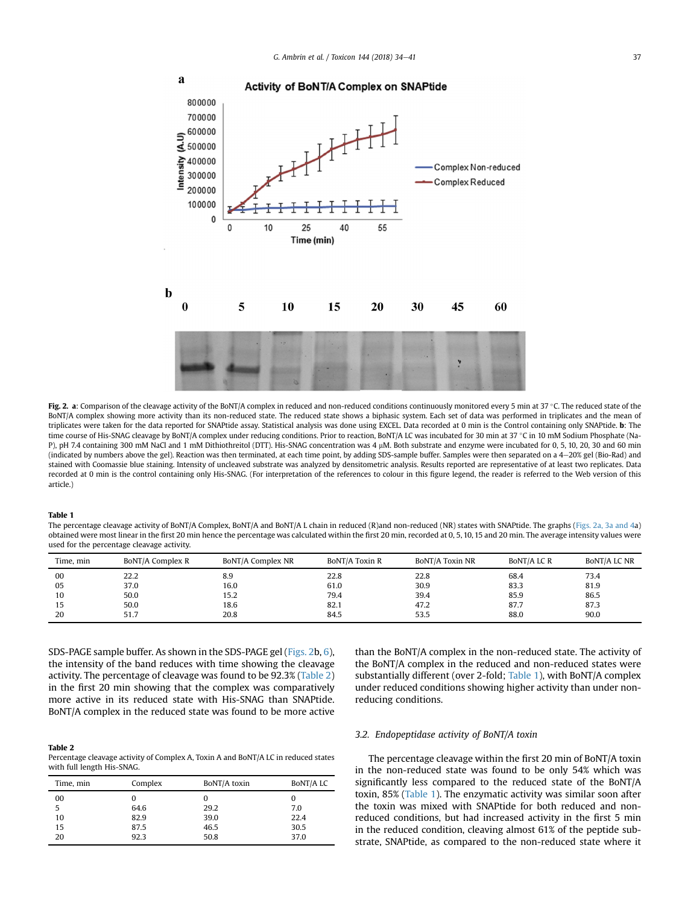<span id="page-3-0"></span>

Fig. 2. a: Comparison of the cleavage activity of the BoNT/A complex in reduced and non-reduced conditions continuously monitored every 5 min at 37 °C. The reduced state of the BoNT/A complex showing more activity than its non-reduced state. The reduced state shows a biphasic system. Each set of data was performed in triplicates and the mean of triplicates were taken for the data reported for SNAPtide assay. Statistical analysis was done using EXCEL. Data recorded at 0 min is the Control containing only SNAPtide. b: The time course of His-SNAG cleavage by BoNT/A complex under reducing conditions. Prior to reaction, BoNT/A LC was incubated for 30 min at 37 °C in 10 mM Sodium Phosphate (Na-P), pH 7.4 containing 300 mM NaCl and 1 mM Dithiothreitol (DTT). His-SNAG concentration was 4 µM. Both substrate and enzyme were incubated for 0, 5, 10, 20, 30 and 60 min (indicated by numbers above the gel). Reaction was then terminated, at each time point, by adding SDS-sample buffer. Samples were then separated on a 4e20% gel (Bio-Rad) and stained with Coomassie blue staining. Intensity of uncleaved substrate was analyzed by densitometric analysis. Results reported are representative of at least two replicates. Data recorded at 0 min is the control containing only His-SNAG. (For interpretation of the references to colour in this figure legend, the reader is referred to the Web version of this article.)

#### Table 1

The percentage cleavage activity of BoNT/A Complex, BoNT/A and BoNT/A L chain in reduced (R)and non-reduced (NR) states with SNAPtide. The graphs (Figs. 2a, 3a and 4a) obtained were most linear in the first 20 min hence the percentage was calculated within the first 20 min, recorded at 0, 5, 10, 15 and 20 min. The average intensity values were used for the percentage cleavage activity.

| Time, min | BoNT/A Complex R | BoNT/A Complex NR | BoNT/A Toxin R | <b>BONT/A Toxin NR</b> | BONT/A LC R | BONT/A LC NR |
|-----------|------------------|-------------------|----------------|------------------------|-------------|--------------|
| 00        | 22.2             | 8.9               | 22.8           | 22.8                   | 68.4        | 73.4         |
| 05        | 37.0             | 16.0              | 61.0           | 30.9                   | 83.3        | 81.9         |
| 10        | 50.0             | 15.2              | 79.4           | 39.4                   | 85.9        | 86.5         |
| 15        | 50.0             | 18.6              | 82.1           | 47.2                   | 87.7        | 87.3         |
| 20        | 51.7             | 20.8              | 84.5           | 53.5                   | 88.0        | 90.0         |

SDS-PAGE sample buffer. As shown in the SDS-PAGE gel (Figs. 2b, [6\)](#page-5-0), the intensity of the band reduces with time showing the cleavage activity. The percentage of cleavage was found to be 92.3% (Table 2) in the first 20 min showing that the complex was comparatively more active in its reduced state with His-SNAG than SNAPtide. BoNT/A complex in the reduced state was found to be more active

#### Table 2 Percentage cleavage activity of Complex A, Toxin A and BoNT/A LC in reduced states with full length His-SNAG.

| Time, min | Complex | BoNT/A toxin | BoNT/A LC |
|-----------|---------|--------------|-----------|
| 00        |         |              | U         |
| 5         | 64.6    | 29.2         | 7.0       |
| 10        | 82.9    | 39.0         | 22.4      |
| 15        | 87.5    | 46.5         | 30.5      |
| 20        | 92.3    | 50.8         | 37.0      |

than the BoNT/A complex in the non-reduced state. The activity of the BoNT/A complex in the reduced and non-reduced states were substantially different (over 2-fold; Table 1), with BoNT/A complex under reduced conditions showing higher activity than under nonreducing conditions.

#### 3.2. Endopeptidase activity of BoNT/A toxin

The percentage cleavage within the first 20 min of BoNT/A toxin in the non-reduced state was found to be only 54% which was significantly less compared to the reduced state of the BoNT/A toxin, 85% (Table 1). The enzymatic activity was similar soon after the toxin was mixed with SNAPtide for both reduced and nonreduced conditions, but had increased activity in the first 5 min in the reduced condition, cleaving almost 61% of the peptide substrate, SNAPtide, as compared to the non-reduced state where it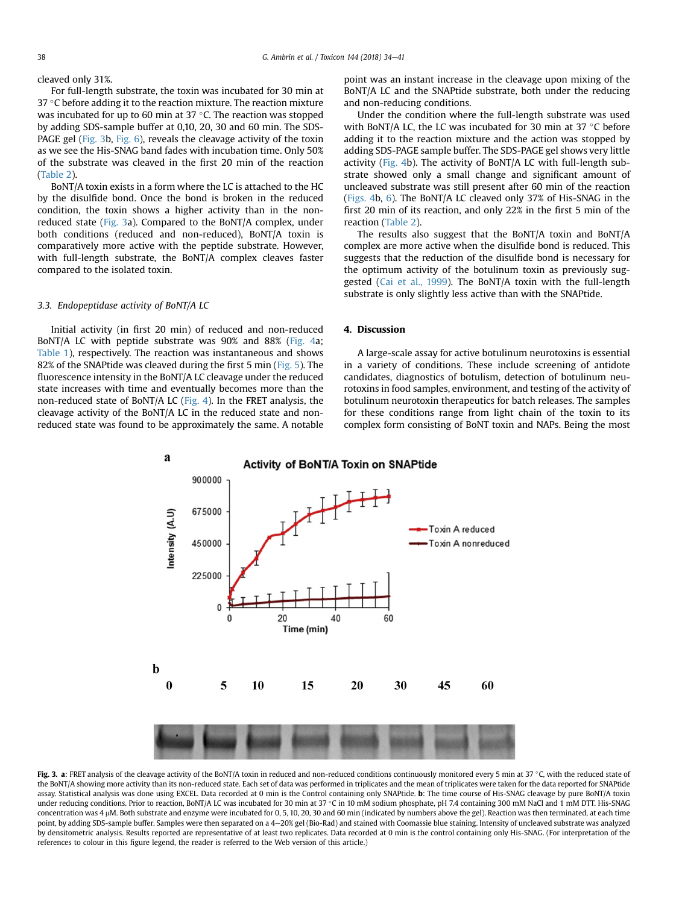cleaved only 31%.

For full-length substrate, the toxin was incubated for 30 min at 37 °C before adding it to the reaction mixture. The reaction mixture was incubated for up to 60 min at 37 $\degree$ C. The reaction was stopped by adding SDS-sample buffer at 0,10, 20, 30 and 60 min. The SDS-PAGE gel (Fig. 3b, [Fig. 6](#page-5-0)), reveals the cleavage activity of the toxin as we see the His-SNAG band fades with incubation time. Only 50% of the substrate was cleaved in the first 20 min of the reaction ([Table 2\)](#page-3-0).

BoNT/A toxin exists in a form where the LC is attached to the HC by the disulfide bond. Once the bond is broken in the reduced condition, the toxin shows a higher activity than in the nonreduced state (Fig. 3a). Compared to the BoNT/A complex, under both conditions (reduced and non-reduced), BoNT/A toxin is comparatively more active with the peptide substrate. However, with full-length substrate, the BoNT/A complex cleaves faster compared to the isolated toxin.

### 3.3. Endopeptidase activity of BoNT/A LC

Initial activity (in first 20 min) of reduced and non-reduced BoNT/A LC with peptide substrate was 90% and 88% [\(Fig. 4a](#page-5-0); [Table 1](#page-3-0)), respectively. The reaction was instantaneous and shows 82% of the SNAPtide was cleaved during the first 5 min [\(Fig. 5\)](#page-5-0). The fluorescence intensity in the BoNT/A LC cleavage under the reduced state increases with time and eventually becomes more than the non-reduced state of BoNT/A LC ([Fig. 4](#page-5-0)). In the FRET analysis, the cleavage activity of the BoNT/A LC in the reduced state and nonreduced state was found to be approximately the same. A notable point was an instant increase in the cleavage upon mixing of the BoNT/A LC and the SNAPtide substrate, both under the reducing and non-reducing conditions.

Under the condition where the full-length substrate was used with BoNT/A LC, the LC was incubated for 30 min at 37  $\degree$ C before adding it to the reaction mixture and the action was stopped by adding SDS-PAGE sample buffer. The SDS-PAGE gel shows very little activity ([Fig. 4b](#page-5-0)). The activity of BoNT/A LC with full-length substrate showed only a small change and significant amount of uncleaved substrate was still present after 60 min of the reaction ([Figs. 4](#page-5-0)b, [6\)](#page-5-0). The BoNT/A LC cleaved only 37% of His-SNAG in the first 20 min of its reaction, and only 22% in the first 5 min of the reaction [\(Table 2](#page-3-0)).

The results also suggest that the BoNT/A toxin and BoNT/A complex are more active when the disulfide bond is reduced. This suggests that the reduction of the disulfide bond is necessary for the optimum activity of the botulinum toxin as previously suggested [\(Cai et al., 1999\)](#page-7-0). The BoNT/A toxin with the full-length substrate is only slightly less active than with the SNAPtide.

## 4. Discussion

A large-scale assay for active botulinum neurotoxins is essential in a variety of conditions. These include screening of antidote candidates, diagnostics of botulism, detection of botulinum neurotoxins in food samples, environment, and testing of the activity of botulinum neurotoxin therapeutics for batch releases. The samples for these conditions range from light chain of the toxin to its complex form consisting of BoNT toxin and NAPs. Being the most



Fig. 3. a: FRET analysis of the cleavage activity of the BoNT/A toxin in reduced and non-reduced conditions continuously monitored every 5 min at 37 °C, with the reduced state of the BoNT/A showing more activity than its non-reduced state. Each set of data was performed in triplicates and the mean of triplicates were taken for the data reported for SNAPtide assay. Statistical analysis was done using EXCEL. Data recorded at 0 min is the Control containing only SNAPtide. b: The time course of His-SNAG cleavage by pure BoNT/A toxin under reducing conditions. Prior to reaction, BoNT/A LC was incubated for 30 min at 37 °C in 10 mM sodium phosphate, pH 7.4 containing 300 mM NaCl and 1 mM DTT. His-SNAG concentration was 4 mM. Both substrate and enzyme were incubated for 0, 5, 10, 20, 30 and 60 min (indicated by numbers above the gel). Reaction was then terminated, at each time point, by adding SDS-sample buffer. Samples were then separated on a 4-20% gel (Bio-Rad) and stained with Coomassie blue staining. Intensity of uncleaved substrate was analyzed by densitometric analysis. Results reported are representative of at least two replicates. Data recorded at 0 min is the control containing only His-SNAG. (For interpretation of the references to colour in this figure legend, the reader is referred to the Web version of this article.)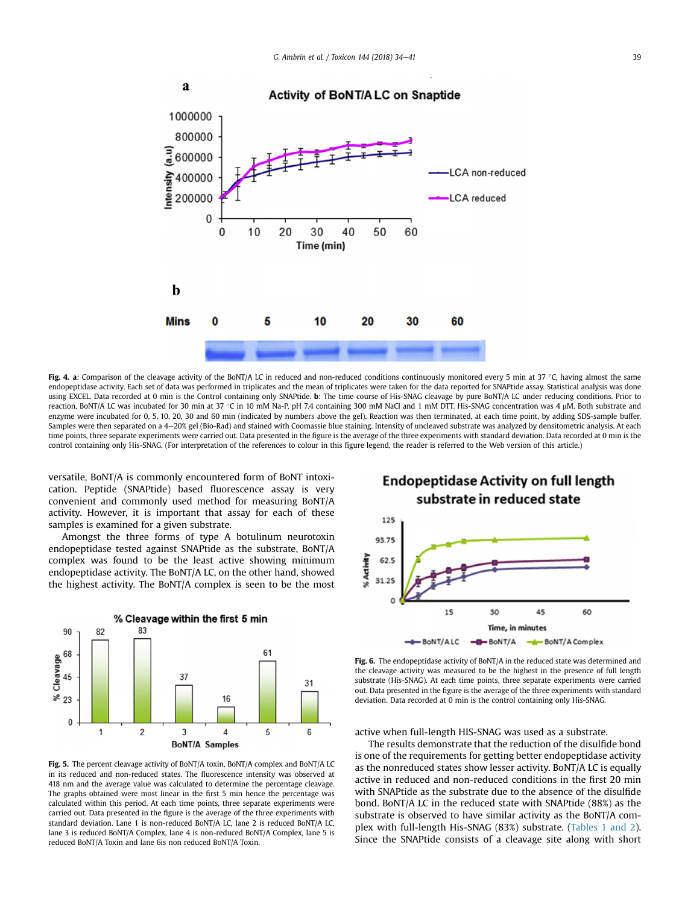<span id="page-5-0"></span>

Fig. 4. a: Comparison of the cleavage activity of the BoNT/A LC in reduced and non-reduced conditions continuously monitored every 5 min at 37 °C, having almost the same endopeptidase activity. Each set of data was performed in triplicates and the mean of triplicates were taken for the data reported for SNAPtide assay. Statistical analysis was done using EXCEL. Data recorded at 0 min is the Control containing only SNAPtide. b: The time course of His-SNAG cleavage by pure BoNT/A LC under reducing conditions. Prior to reaction, BoNT/A LC was incubated for 30 min at 37 °C in 10 mM Na-P, pH 7.4 containing 300 mM NaCl and 1 mM DTT. His-SNAG concentration was 4 µM. Both substrate and enzyme were incubated for 0, 5, 10, 20, 30 and 60 min (indicated by numbers above the gel). Reaction was then terminated, at each time point, by adding SDS-sample buffer. Samples were then separated on a 4-20% gel (Bio-Rad) and stained with Coomassie blue staining. Intensity of uncleaved substrate was analyzed by densitometric analysis. At each time points, three separate experiments were carried out. Data presented in the figure is the average of the three experiments with standard deviation. Data recorded at 0 min is the control containing only His-SNAG. (For interpretation of the references to colour in this figure legend, the reader is referred to the Web version of this article.)

versatile, BoNT/A is commonly encountered form of BoNT intoxication. Peptide (SNAPtide) based fluorescence assay is very convenient and commonly used method for measuring BoNT/A activity. However, it is important that assay for each of these samples is examined for a given substrate.

Amongst the three forms of type A botulinum neurotoxin endopeptidase tested against SNAPtide as the substrate, BoNT/A complex was found to be the least active showing minimum endopeptidase activity. The BoNT/A LC, on the other hand, showed the highest activity. The BoNT/A complex is seen to be the most



Fig. 5. The percent cleavage activity of BoNT/A toxin, BoNT/A complex and BoNT/A LC in its reduced and non-reduced states. The fluorescence intensity was observed at 418 nm and the average value was calculated to determine the percentage cleavage. The graphs obtained were most linear in the first 5 min hence the percentage was calculated within this period. At each time points, three separate experiments were carried out. Data presented in the figure is the average of the three experiments with standard deviation. Lane 1 is non-reduced BoNT/A LC, lane 2 is reduced BoNT/A LC, lane 3 is reduced BoNT/A Complex, lane 4 is non-reduced BoNT/A Complex, lane 5 is reduced BoNT/A Toxin and lane 6is non reduced BoNT/A Toxin.

# **Endopeptidase Activity on full length** substrate in reduced state



Fig. 6. The endopeptidase activity of BoNT/A in the reduced state was determined and the cleavage activity was measured to be the highest in the presence of full length substrate (His-SNAG). At each time points, three separate experiments were carried out. Data presented in the figure is the average of the three experiments with standard deviation. Data recorded at 0 min is the control containing only His-SNAG.

active when full-length HIS-SNAG was used as a substrate.

The results demonstrate that the reduction of the disulfide bond is one of the requirements for getting better endopeptidase activity as the nonreduced states show lesser activity. BoNT/A LC is equally active in reduced and non-reduced conditions in the first 20 min with SNAPtide as the substrate due to the absence of the disulfide bond. BoNT/A LC in the reduced state with SNAPtide (88%) as the substrate is observed to have similar activity as the BoNT/A complex with full-length His-SNAG (83%) substrate. [\(Tables 1 and 2\)](#page-3-0). Since the SNAPtide consists of a cleavage site along with short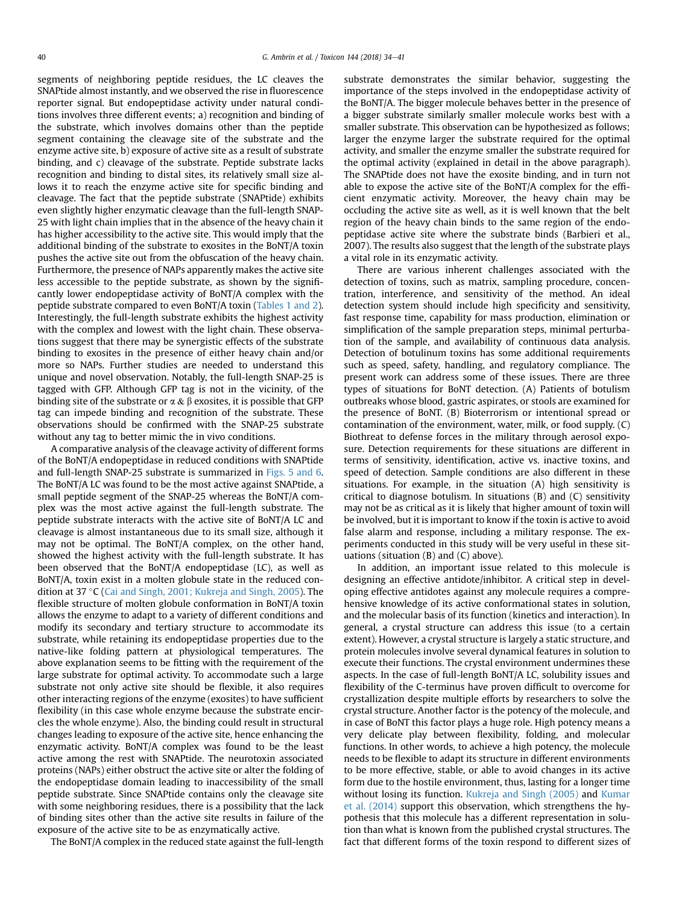segments of neighboring peptide residues, the LC cleaves the SNAPtide almost instantly, and we observed the rise in fluorescence reporter signal. But endopeptidase activity under natural conditions involves three different events; a) recognition and binding of the substrate, which involves domains other than the peptide segment containing the cleavage site of the substrate and the enzyme active site, b) exposure of active site as a result of substrate binding, and c) cleavage of the substrate. Peptide substrate lacks recognition and binding to distal sites, its relatively small size allows it to reach the enzyme active site for specific binding and cleavage. The fact that the peptide substrate (SNAPtide) exhibits even slightly higher enzymatic cleavage than the full-length SNAP-25 with light chain implies that in the absence of the heavy chain it has higher accessibility to the active site. This would imply that the additional binding of the substrate to exosites in the BoNT/A toxin pushes the active site out from the obfuscation of the heavy chain. Furthermore, the presence of NAPs apparently makes the active site less accessible to the peptide substrate, as shown by the significantly lower endopeptidase activity of BoNT/A complex with the peptide substrate compared to even BoNT/A toxin [\(Tables 1 and 2\)](#page-3-0). Interestingly, the full-length substrate exhibits the highest activity with the complex and lowest with the light chain. These observations suggest that there may be synergistic effects of the substrate binding to exosites in the presence of either heavy chain and/or more so NAPs. Further studies are needed to understand this unique and novel observation. Notably, the full-length SNAP-25 is tagged with GFP. Although GFP tag is not in the vicinity, of the binding site of the substrate or  $\alpha \& \beta$  exosites, it is possible that GFP tag can impede binding and recognition of the substrate. These observations should be confirmed with the SNAP-25 substrate without any tag to better mimic the in vivo conditions.

A comparative analysis of the cleavage activity of different forms of the BoNT/A endopeptidase in reduced conditions with SNAPtide and full-length SNAP-25 substrate is summarized in [Figs. 5 and 6.](#page-5-0) The BoNT/A LC was found to be the most active against SNAPtide, a small peptide segment of the SNAP-25 whereas the BoNT/A complex was the most active against the full-length substrate. The peptide substrate interacts with the active site of BoNT/A LC and cleavage is almost instantaneous due to its small size, although it may not be optimal. The BoNT/A complex, on the other hand, showed the highest activity with the full-length substrate. It has been observed that the BoNT/A endopeptidase (LC), as well as BoNT/A, toxin exist in a molten globule state in the reduced con-dition at 37 °C ([Cai and Singh, 2001; Kukreja and Singh, 2005\)](#page-7-0). The flexible structure of molten globule conformation in BoNT/A toxin allows the enzyme to adapt to a variety of different conditions and modify its secondary and tertiary structure to accommodate its substrate, while retaining its endopeptidase properties due to the native-like folding pattern at physiological temperatures. The above explanation seems to be fitting with the requirement of the large substrate for optimal activity. To accommodate such a large substrate not only active site should be flexible, it also requires other interacting regions of the enzyme (exosites) to have sufficient flexibility (in this case whole enzyme because the substrate encircles the whole enzyme). Also, the binding could result in structural changes leading to exposure of the active site, hence enhancing the enzymatic activity. BoNT/A complex was found to be the least active among the rest with SNAPtide. The neurotoxin associated proteins (NAPs) either obstruct the active site or alter the folding of the endopeptidase domain leading to inaccessibility of the small peptide substrate. Since SNAPtide contains only the cleavage site with some neighboring residues, there is a possibility that the lack of binding sites other than the active site results in failure of the exposure of the active site to be as enzymatically active.

The BoNT/A complex in the reduced state against the full-length

substrate demonstrates the similar behavior, suggesting the importance of the steps involved in the endopeptidase activity of the BoNT/A. The bigger molecule behaves better in the presence of a bigger substrate similarly smaller molecule works best with a smaller substrate. This observation can be hypothesized as follows; larger the enzyme larger the substrate required for the optimal activity, and smaller the enzyme smaller the substrate required for the optimal activity (explained in detail in the above paragraph). The SNAPtide does not have the exosite binding, and in turn not able to expose the active site of the BoNT/A complex for the efficient enzymatic activity. Moreover, the heavy chain may be occluding the active site as well, as it is well known that the belt region of the heavy chain binds to the same region of the endopeptidase active site where the substrate binds (Barbieri et al., 2007). The results also suggest that the length of the substrate plays a vital role in its enzymatic activity.

There are various inherent challenges associated with the detection of toxins, such as matrix, sampling procedure, concentration, interference, and sensitivity of the method. An ideal detection system should include high specificity and sensitivity, fast response time, capability for mass production, elimination or simplification of the sample preparation steps, minimal perturbation of the sample, and availability of continuous data analysis. Detection of botulinum toxins has some additional requirements such as speed, safety, handling, and regulatory compliance. The present work can address some of these issues. There are three types of situations for BoNT detection. (A) Patients of botulism outbreaks whose blood, gastric aspirates, or stools are examined for the presence of BoNT. (B) Bioterrorism or intentional spread or contamination of the environment, water, milk, or food supply. (C) Biothreat to defense forces in the military through aerosol exposure. Detection requirements for these situations are different in terms of sensitivity, identification, active vs. inactive toxins, and speed of detection. Sample conditions are also different in these situations. For example, in the situation (A) high sensitivity is critical to diagnose botulism. In situations (B) and (C) sensitivity may not be as critical as it is likely that higher amount of toxin will be involved, but it is important to know if the toxin is active to avoid false alarm and response, including a military response. The experiments conducted in this study will be very useful in these situations (situation (B) and (C) above).

In addition, an important issue related to this molecule is designing an effective antidote/inhibitor. A critical step in developing effective antidotes against any molecule requires a comprehensive knowledge of its active conformational states in solution, and the molecular basis of its function (kinetics and interaction). In general, a crystal structure can address this issue (to a certain extent). However, a crystal structure is largely a static structure, and protein molecules involve several dynamical features in solution to execute their functions. The crystal environment undermines these aspects. In the case of full-length BoNT/A LC, solubility issues and flexibility of the C-terminus have proven difficult to overcome for crystallization despite multiple efforts by researchers to solve the crystal structure. Another factor is the potency of the molecule, and in case of BoNT this factor plays a huge role. High potency means a very delicate play between flexibility, folding, and molecular functions. In other words, to achieve a high potency, the molecule needs to be flexible to adapt its structure in different environments to be more effective, stable, or able to avoid changes in its active form due to the hostile environment, thus, lasting for a longer time without losing its function. [Kukreja and Singh \(2005\)](#page-7-0) and [Kumar](#page-7-0) [et al. \(2014\)](#page-7-0) support this observation, which strengthens the hypothesis that this molecule has a different representation in solution than what is known from the published crystal structures. The fact that different forms of the toxin respond to different sizes of